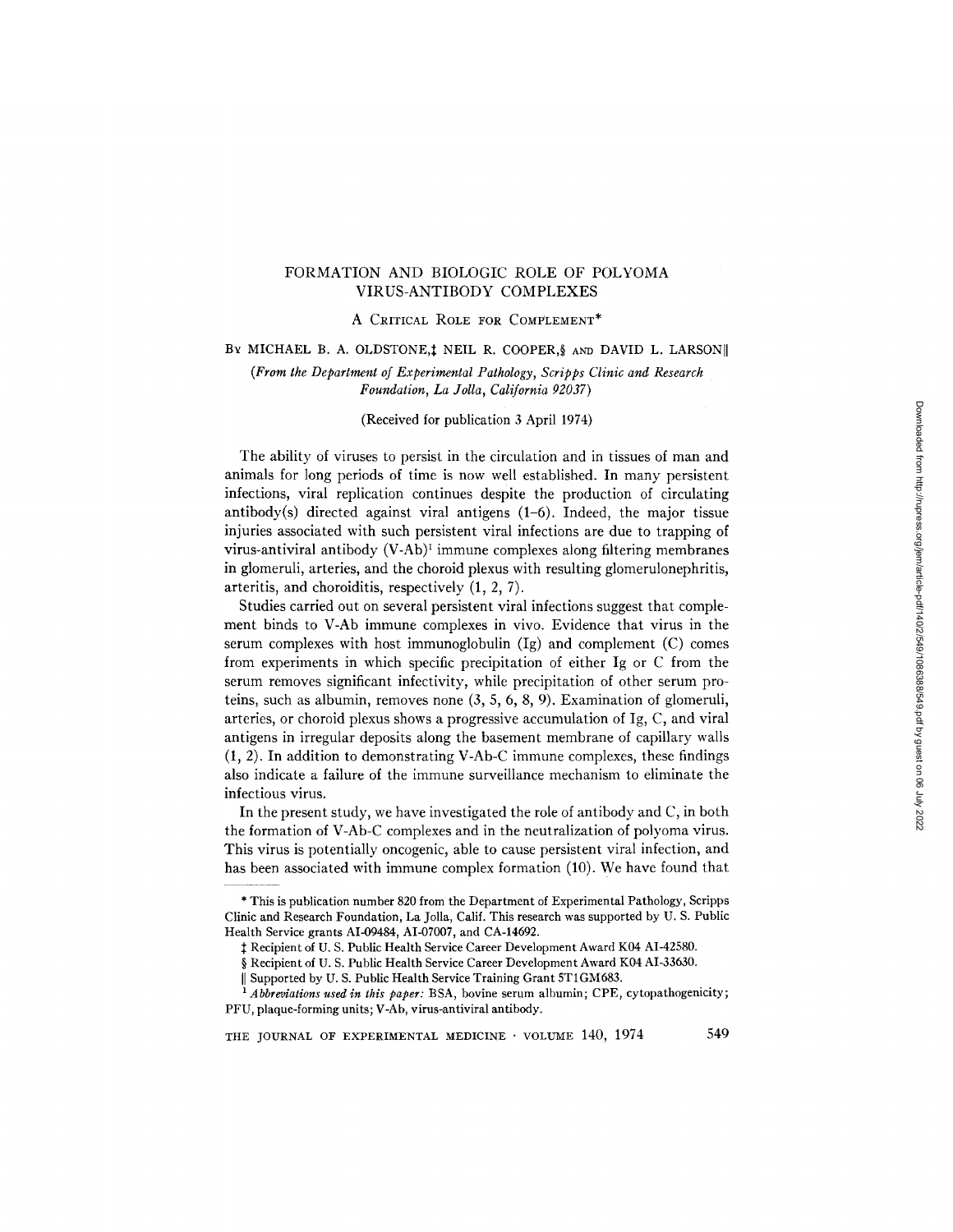# FORMATION AND BIOLOGIC ROLE OF POLYOMA VIRUS-ANTIBODY COMPLEXES

A CRITICAL ROLE FOR COMPLEMENT\*

### BY MICHAEL B. A. OLDSTONE,\$ NEIL R. COOPER,§ AND DAVID L. LARSONI]

*(From the Department of Experimental Pathology, Scripps Clinic and Research Foundation, La JoUa, California 92037)* 

## (Received for publication 3 April 1974)

The ability of viruses to persist in the circulation and in tissues of man and animals for long periods of time is now well established. In many persistent infections, viral replication continues despite the production of circulating antibody(s) directed against viral antigens  $(1-6)$ . Indeed, the major tissue injuries associated with such persistent viral infections are due to trapping of virus-antiviral antibody  $(V - Ab)^1$  immune complexes along filtering membranes in glomeruli, arteries, and the choroid plexus with resulting glomerulonephritis, arteritis, and choroiditis, respectively (1, 2, 7).

Studies carried out on several persistent viral infections suggest that complement binds to V-Ab immune complexes in vivo. Evidence that virus in the serum complexes with host immunoglobulin (Ig) and complement (C) comes from experiments in which specific precipitation of either Ig or C from the serum removes significant infectivity, while precipitation of other serum proteins, such as albumin, removes none (3, 5, 6, 8, 9). Examination of glomeruli, arteries, or choroid plexus shows a progressive accumulation of Ig, C, and viral antigens in irregular deposits along the basement membrane of capillary walls (1, 2). In addition to demonstrating V-Ab-C immune complexes, these findings also indicate a failure of the immune surveillance mechanism to eliminate the infectious virus.

In the present study, we have investigated the role of antibody and C, in both the formation of V-Ab-C complexes and in the neutralization of polyoma virus. This virus is potentially oncogenic, able to cause persistent viral infection, and has been associated with immune complex formation (10). We have found that

<sup>\*</sup> This is publication number 820 from the Department of Experimental Pathology, Scripps Clinic and Research Foundation, La Jolla, Calif. This research was supported by U. S. Public Health Service grants AI-09484, AI-07007, and CA-14692.

 $\ddagger$  Recipient of U. S. Public Health Service Career Development Award K04 AI-42580.

<sup>§</sup> Recipient of U. S. Public Health Service Career Development Award K04 AI-33630.

<sup>||</sup> Supported by U.S. Public Health Service Training Grant 5T1GM683.

<sup>&</sup>lt;sup>1</sup> Abbreviations used in this paper: BSA, bovine serum albumin; CPE, cytopathogenicity; **PFU,** plaque-forming units; V-Ab, virus-antiviral antibody.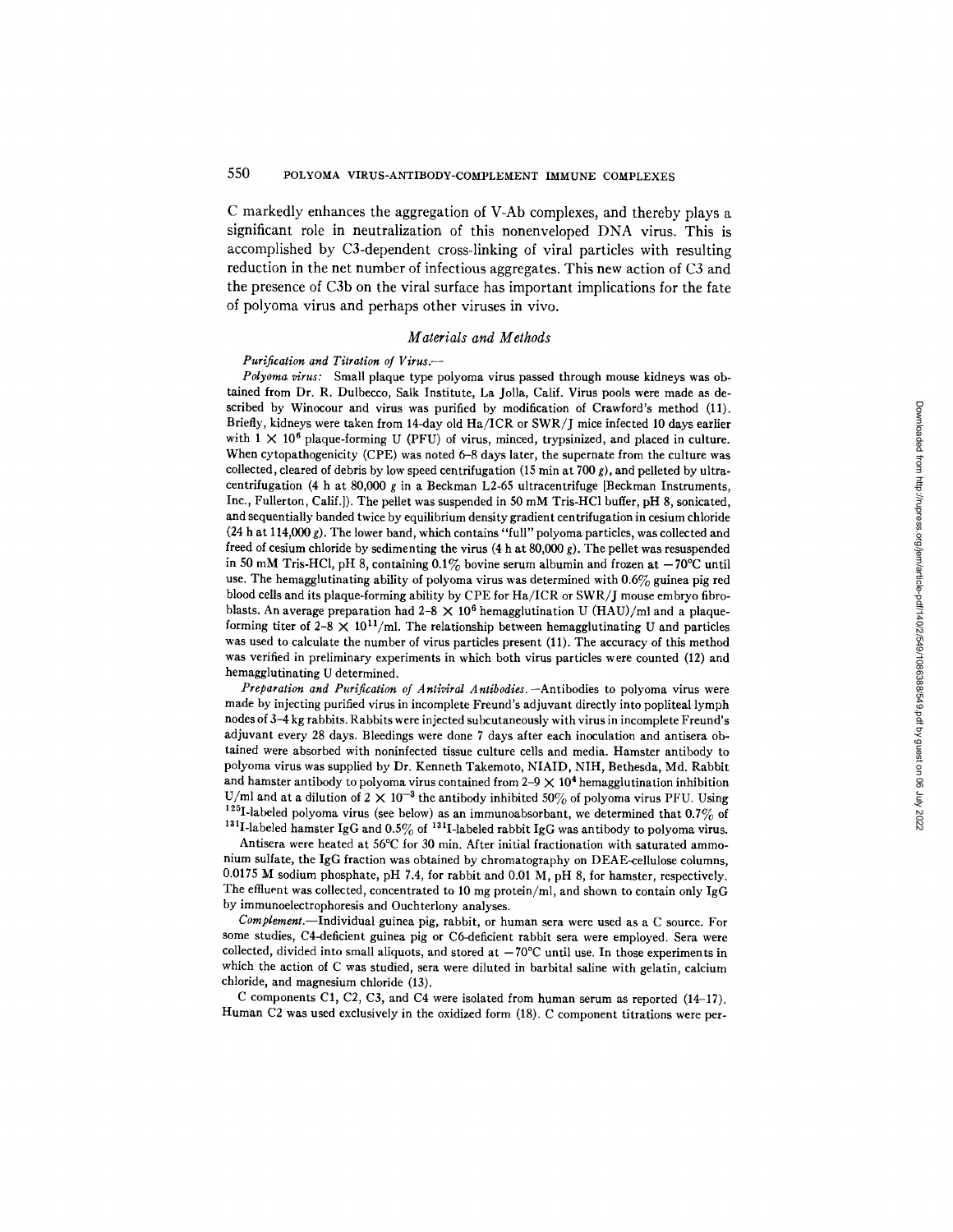C markedly enhances the aggregation of V-Ab complexes, and thereby plays a significant role in neutralization of this nonenveloped DNA virus. This is accomplished by C3-dependent cross-linking of viral particles with resulting reduction in the net number of infectious aggregates. This new action of C3 and the presence of C3b on the viral surface has important implications for the fate of polyoma virus and perhaps other viruses in vivo.

### *Materials and Methods*

#### *Purification and Titration of Virus.--*

*Polyoma virus:* Small plaque type polyoma virus passed through mouse kidneys was obtained from Dr. R. Dulbecco, Salk Institute, La Jolla, Calif. Virus pools were made as described by Winocour and virus was purified by modification of Crawford's method (11). Briefly, kidneys were taken from 14-day old Ha/ICR or SWR/J mice infected 10 days earlier with  $1 \times 10^6$  plaque-forming U (PFU) of virus, minced, trypsinized, and placed in culture. When cytopathogenicity (CPE) was noted 6-8 days later, the supernate from the culture was collected, cleared of debris by low speed centrifugation (15 min at 700  $g$ ), and pelleted by ultracentrifugation (4 h at 80,000  $\ell$  in a Beckman L2-65 ultracentrifuge [Beckman Instruments, Inc., Fullerton, Calif.]). The pellet was suspended in 50 mM Tris-HC1 buffer, pH 8, sonicated, and sequentially banded twice by equilibrium density gradient centrifugation in cesium chloride  $(24 h at 114,000 g)$ . The lower band, which contains "full" polyoma particles, was collected and freed of cesium chloride by sedimenting the virus  $(4 \text{ h at } 80,000 \text{ g})$ . The pellet was resuspended in 50 mM Tris-HCl, pH 8, containing  $0.1\%$  bovine serum albumin and frozen at  $-70^{\circ}$ C until use. The hemagglutinating ability of polyoma virus was determined with 0.6% guinea pig red blood cells and its plaque-forming ability by CPE for Ha/ICR or SWR/J mouse embryo fibroblasts. An average preparation had  $2-8 \times 10^6$  hemagglutination U (HAU)/ml and a plaqueforming titer of 2-8  $\times$  10<sup>11</sup>/ml. The relationship between hemagglutinating U and particles was used to calculate the number of virus particles present (11). The accuracy of this method was verified in preliminary experiments in which both virus particles were counted (12) and hemagglutinating U determined.

Preparation and Purification of Antiviral Antibodies. - Antibodies to polyoma virus were made by injecting purified virus in incomplete Freund's adjuvant directly into popliteal lymph nodes of 3-4 kg rabbits. Rabbits were injected subcutaneously with virus in incomplete Freund's adjuvant every 28 days. Bleedings were done 7 days after each inoculation end antisera obtained were absorbed with noninfected tissue culture cells and media. Hamster antibody to polyoma virus was supplied by Dr. Kenneth Takemoto, NIAID, NIH, Bethesda, Md. Rabbit and hamster antibody to polyoma virus contained from  $2-9 \times 10^4$  hemagglutination inhibition U/ml and at a dilution of  $2 \times 10^{-3}$  the antibody inhibited 50% of polyoma virus PFU. Using <sup>125</sup>I-labeled polyoma virus (see below) as an immunoabsorbant, we determined that  $0.7\%$  of <sup>131</sup>I-labeled hamster IgG and  $0.5\%$  of <sup>131</sup>I-labeled rabbit IgG was antibody to polyoma virus.

Antisera were heated at 56°C for 30 min. After initial fractionation with saturated ammonium sulfate, the IgG fraction was obtained by chromatography on DEAE-cellulose columns, 0.0175 M sodium phosphate, pH 7.4, for rabbit end 0.01 M, pH 8, for hamster, respectively. The effluent was collected, concentrated to 10 mg protein/ml, and shown to contain only IgG by immunoelectrophoresis and Ouchterlony analyses.

*Complement.--Individual* guinea pig, rabbit, or human sera were used as a C source. For some studies, C4-deficient guinea pig or C6-deficient rabbit sera were employed. Sera were collected, divided into small aliquots, and stored at  $-70^{\circ}\text{C}$  until use. In those experiments in which the action of C was studied, sera were diluted in barbital saline with gelatin, calcium chloride, and magnesium chloride (13).

C components C1, C2, C3, and C4 were isolated from human serum as reported (14-17). Human C2 was used exclusively in the oxidized form (18). C component titrations were per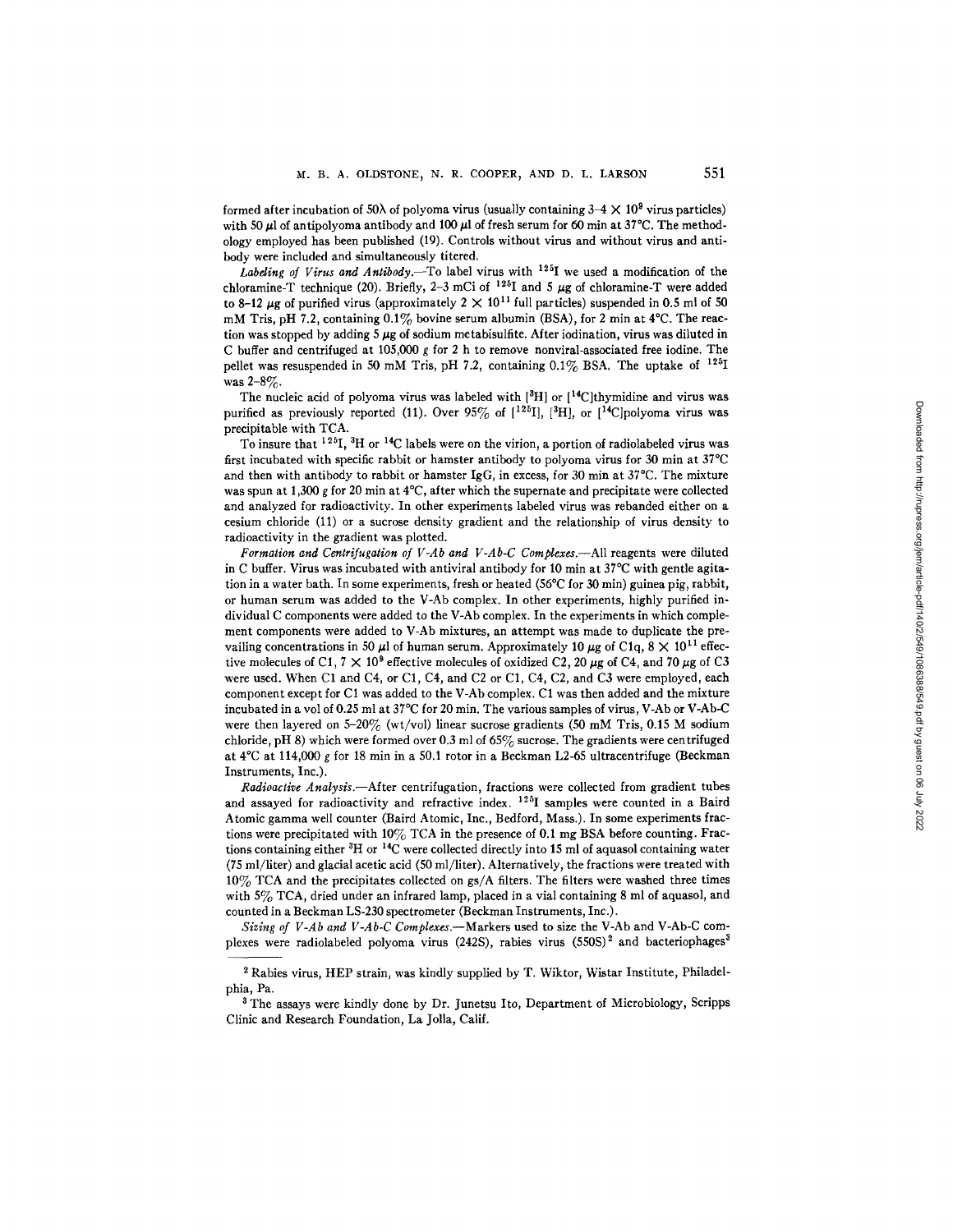formed after incubation of 50 $\lambda$  of polyoma virus (usually containing 3-4  $\times$  10<sup>9</sup> virus particles) with 50  $\mu$ l of antipolyoma antibody and 100  $\mu$ l of fresh serum for 60 min at 37°C. The methodology employed has been published (19). Controls without virus and without virus and antibody were included and simultaneously titered.

Labeling of Virus and Antibody.—To label virus with <sup>125</sup>I we used a modification of the chloramine-T technique (20). Briefly, 2-3 mCi of  $125I$  and 5  $\mu$ g of chloramine-T were added to 8-12  $\mu$ g of purified virus (approximately 2  $\times$  10<sup>11</sup> full particles) suspended in 0.5 ml of 50 mM Tris, pH 7.2, containing  $0.1\%$  bovine serum albumin (BSA), for 2 min at 4°C. The reaction was stopped by adding  $5 \mu$ g of sodium metabisulfite. After iodination, virus was diluted in C buffer and centrifuged at 105,000  $g$  for 2 h to remove nonviral-associated free iodine. The pellet was resuspended in 50 mM Tris, pH 7.2, containing  $0.1\%$  BSA. The uptake of  $^{125}I$ was 2-8%.

The nucleic acid of polyoma virus was labeled with  $[{}^{3}H]$  or  $[{}^{14}C]$ thymidine and virus was purified as previously reported (11). Over 95% of  $[^{125}I], [^{3}H],$  or  $[^{14}C]$ polyoma virus was precipitable with TCA.

To insure that  $125I$ ,  ${}^{3}H$  or  ${}^{14}C$  labels were on the virion, a portion of radiolabeled virus was first incubated with specific rabbit or hamster antibody to polyoma virus for 30 min at 37°C and then with antibody to rabbit or hamster IgG, in excess, for 30 min at  $37^{\circ}$ C. The mixture was spun at 1,300 g for 20 min at  $4^{\circ}$ C, after which the supernate and precipitate were collected and analyzed for radioactivity. In other experiments labeled virus was rebanded either on a cesium chloride (11) or a sucrose density gradient and the relationship of virus density to radioactivity in the gradient was plotted.

Formation and Centrifugation of V-Ab and V-Ab-C Complexes.---All reagents were diluted in C buffer. Virus was incubated with antiviral antibody for 10 min at 37°C with gentle agitation in a water bath. In some experiments, fresh or heated (56°C for 30 min) guinea pig, rabbit, or human serum was added to the V-Ab complex. In other experiments, highly purified individual C components were added to the V-Ab complex. In the experiments in which complement components were added to V-Ab mixtures, an attempt was made to duplicate the prevailing concentrations in 50  $\mu$ l of human serum. Approximately 10  $\mu$ g of C1q, 8  $\times$  10<sup>11</sup> effective molecules of C1,  $7 \times 10^9$  effective molecules of oxidized C2, 20  $\mu$ g of C4, and 70  $\mu$ g of C3 were used. When C1 and C4, or C1, C4, and C2 or C1, C4, C2, and C3 were employed, each component except for C1 was added to the V-Ab complex. C1 was then added and the mixture incubated in a vol of 0.25 ml at  $37^{\circ}$ C for 20 min. The various samples of virus, V-Ab or V-Ab-C were then layered on  $5-20\%$  (wt/vol) linear sucrose gradients (50 mM Tris, 0.15 M sodium chloride, pH 8) which were formed over 0.3 ml of  $65\%$  sucrose. The gradients were centrifuged at  $4^{\circ}$ C at 114,000 g for 18 min in a 50.1 rotor in a Beckman L2-65 ultracentrifuge (Beckman Instruments, Inc.).

*Radioactive Analysis.--After* centrifugation, fractions were collected from gradient tubes and assayed for radioactivity and refractive index.  $12\overline{5}I$  samples were counted in a Baird Atomic gamma well counter (Baird Atomic, Inc., Bedford, Mass.). In some experiments fractions were precipitated with  $10\%$  TCA in the presence of 0.1 mg BSA before counting. Fractions containing either  ${}^{3}H$  or  ${}^{14}C$  were collected directly into 15 ml of aquasol containing water (75 ml/liter) and glacial acetic acid (50 ml/liter). Alternatively, the fractions were treated with 10% TCA and the precipitates collected on gs/A filters. The filters were washed three times with 5% TCA, dried under an infrared lamp, placed in a vial containing 8 ml of aquasol, and counted in a Beckman LS-230 spectrometer (Beckman Instruments, Inc.).

*Sizing of V-Ab and V-Ab-C Complexes.--Markers* used to size the V-Ab and V-Ab-C complexes were radiolabeled polyoma virus (242S), rabies virus  $(550S)^2$  and bacteriophages<sup>3</sup>

<sup>2</sup> Rabies virus, HEP strain, was kindly supplied by T. Wiktor, Wistar Institute, Philadelphia, Pa.

<sup>8</sup> The assays were kindly done by Dr. Junetsu Ito, Department of Microbiology, Scripps Clinic and Research Foundation, La Jolla, Calif.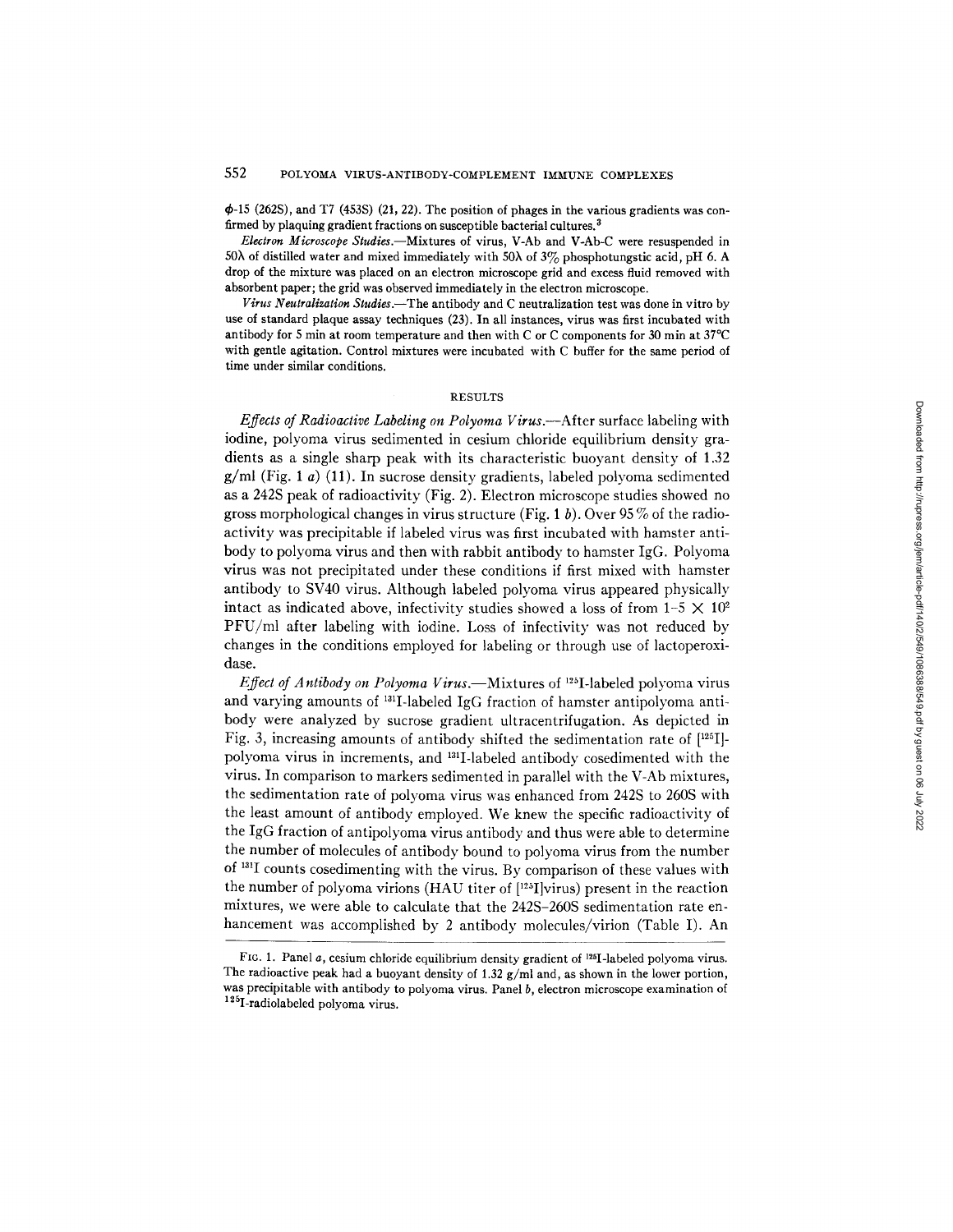$\phi$ -15 (262S), and T7 (453S) (21, 22). The position of phages in the various gradients was confirmed by plaquing gradient fractions on susceptible bacterial cultures.<sup>3</sup>

*Electron Microscope Studies.--Mixtures* of virus, V-Ab and V-Ab-C were resuspended in 50 $\lambda$  of distilled water and mixed immediately with 50 $\lambda$  of 3% phosphotungstic acid, pH 6. A drop of the mixture was placed on an electron microscope grid and excess fluid removed with absorbent paper; the grid was observed immediately in the electron microscope.

*Virus Neutralization Studies.--The* antibody and C neutralization test was done in vitro by use of standard plaque assay techniques (23). In all instances, virus was first incubated with antibody for 5 min at room temperature and then with C or C components for 30 min at 37°C with gentle agitation. Control mixtures were incubated with C buffer for the same period of time under similar conditions.

# **RESULTS**

*Effects of Radioactive Labeling on Polyoma Virus.--After* surface labeling with iodine, polyoma virus sedimented in cesium chloride equilibrium density gradients as a single sharp peak with its characteristic buoyant density of 1.32  $g/ml$  (Fig. 1 a) (11). In sucrose density gradients, labeled polyoma sedimented as a 242S peak of radioactivity (Fig. 2). Electron microscope studies showed no gross morphological changes in virus structure (Fig. 1 b). Over 95 % of the radioactivity was precipitable if labeled virus was first incubated with hamster antibody to polyoma virus and then with rabbit antibody to hamster IgG. Polyoma virus was not precipitated under these conditions if first mixed with hamster antibody to SV40 virus. Although labeled polyoma virus appeared physically intact as indicated above, infectivity studies showed a loss of from  $1-5 \times 10^2$ PFU/ml after labeling with iodine. Loss of infectivity was not reduced by changes in the conditions employed for labeling or through use of lactoperoxidase.

*Effect of Antibody on Polyoma Virus.*—Mixtures of <sup>125</sup>I-labeled polyoma virus and varying amounts of 131I-labeled IgG fraction of hamster antipolyoma antibody were analyzed by sucrose gradient ultracentrifugation. As depicted in Fig. 3, increasing amounts of antibody shifted the sedimentation rate of  $[1^{25}]$ polyoma virus in increments, and 131I-labeled antibody cosedimented with the virus. In comparison to markers sedimented in parallel with the V-Ab mixtures, the sedimentation rate of polyoma virus was enhanced from 242S to 260S with the least amount of antibody employed. We knew the specific radioactivity of the IgG fraction of antipolyoma virus antibody and thus were able to determine the number of molecules of antibody bound to polyoma virus from the number of <sup>131</sup>I counts cosedimenting with the virus. By comparison of these values with the number of polyoma virions (HAU titer of  $[1^{25}]$ virus) present in the reaction mixtures, we were able to calculate that the 242S-260S sedimentation rate enhancement was accomplished by 2 antibody molecules/virion (Table I). An

FIG. 1. Panel *a*, cesium chloride equilibrium density gradient of <sup>125</sup>I-labeled polyoma virus. The radioactive peak had a buoyant density of 1.32  $g/ml$  and, as shown in the lower portion, was precipitable with antibody to polyoma virus. Panel b, electron microscope examination of 125I-radiolabeled polyoma virus.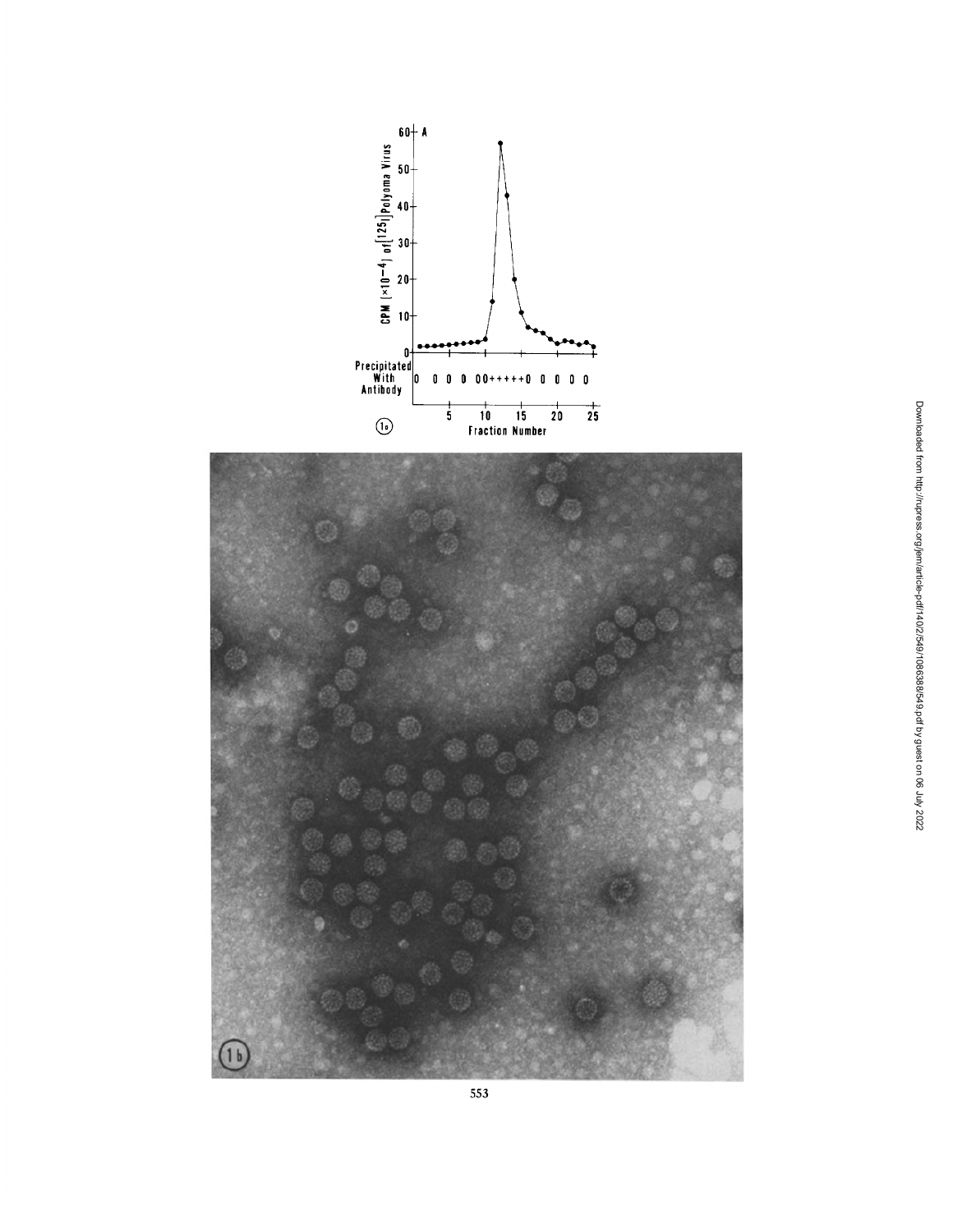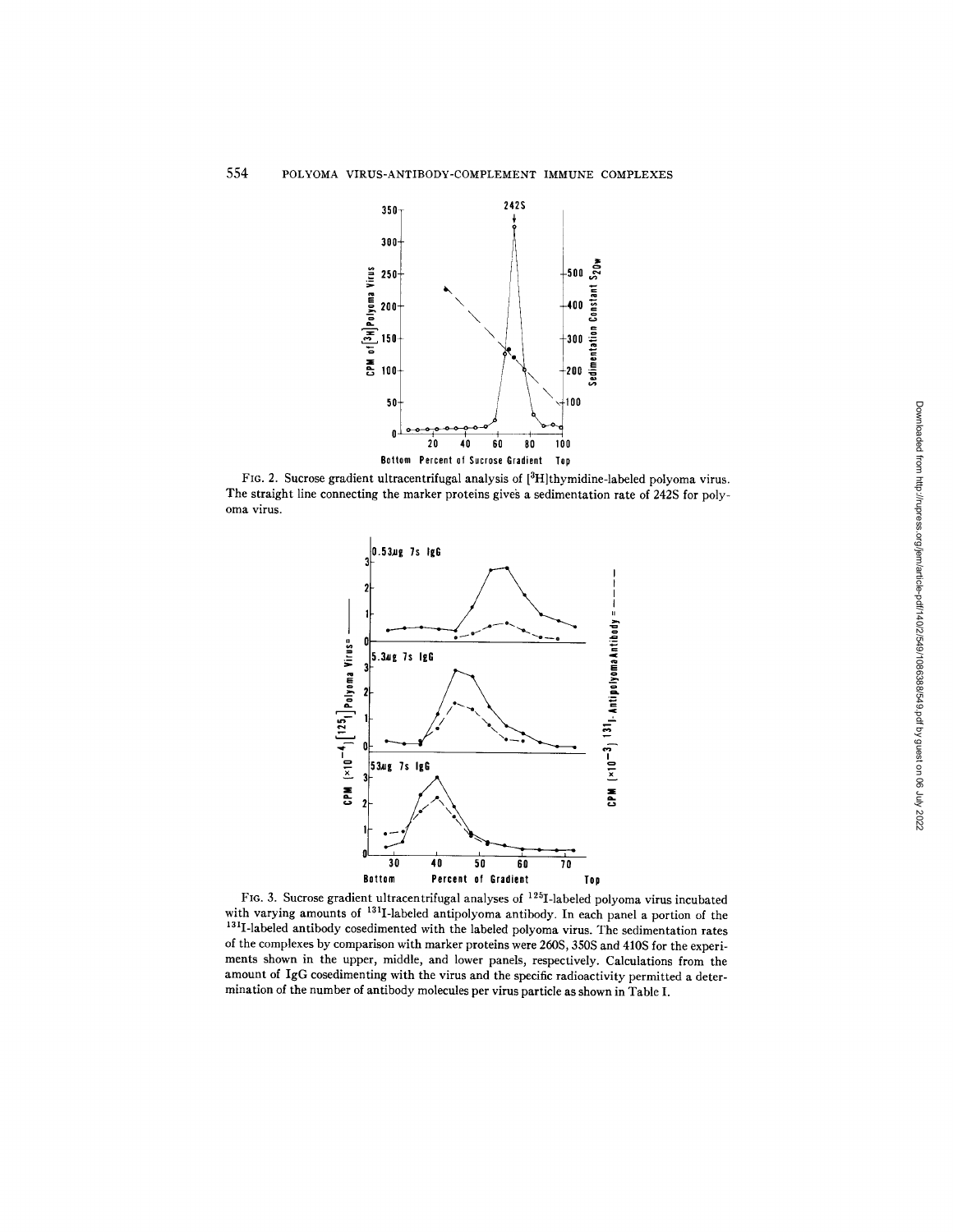

FIG. 2. Sucrose gradient ultracentrifugal analysis of  $[{}^{3}H]$ thymidine-labeled polyoma virus. The straight line connecting the marker proteins gives a sedimentation rate of 242S for polyoma virus.



FIG. 3. Sucrose gradient ultracentrifugal analyses of <sup>125</sup>I-labeled polyoma virus incubated with varying amounts of 131I-labeled antipolyoma antibody. In each panel a portion of the <sup>231</sup>I-labeled antibody cosedimented with the labeled polyoma virus. The sedimentation rates of the complexes by comparison with marker proteins were 260S, 350S and 410S for the experiments shown in the upper, middle, and lower panels, respectively. Calculations from the amount of IgG cosedimenting with the virus and the specific radioactivity permitted a determination of the number of antibody molecules per virus particle as shown in Table I.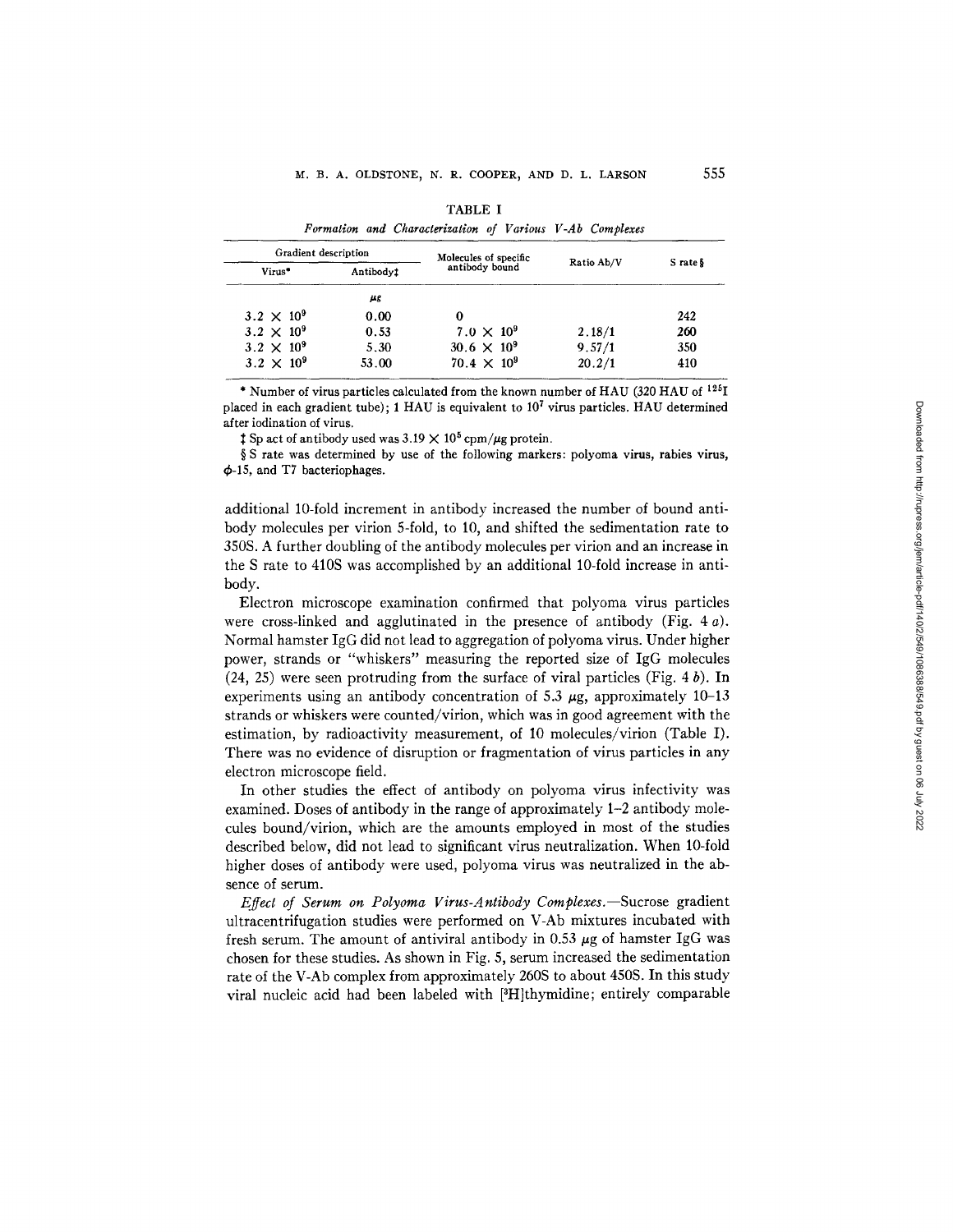| Gradient description |                       | Molecules of specific |            |               |
|----------------------|-----------------------|-----------------------|------------|---------------|
| Virus*               | Antibody <sup>†</sup> | antibody bound        | Ratio Ab/V | $S$ rate $\S$ |
|                      | μg                    |                       |            |               |
| $3.2 \times 10^9$    | 0.00                  | 0                     |            | 242           |
| $3.2 \times 10^{9}$  | 0.53                  | $7.0 \times 10^9$     | 2.18/1     | 260           |
| $3.2 \times 10^{9}$  | 5.30                  | $30.6 \times 10^{9}$  | 9.57/1     | 350           |
| $3.2 \times 10^{9}$  | 53.00                 | $70.4 \times 10^9$    | 20.2/1     | 410           |

|  | <b>TABLE I</b>                                           |  |  |
|--|----------------------------------------------------------|--|--|
|  | Formation and Characterization of Various V-Ab Complexes |  |  |

\* Number of virus particles calculated from the known number of HAU (320 HAU of  $125I$ placed in each gradient tube); 1 HAU is equivalent to  $10<sup>7</sup>$  virus particles. HAU determined after iodination of virus.

 $\ddagger$  Sp act of antibody used was 3.19  $\times$  10<sup>5</sup> cpm/ $\mu$ g protein.

§ S rate was determined by use of the following markers: polyoma virus, rabies virus, ¢-15, and T7 bacteriophages.

additional 10-fold increment in antibody increased the number of bound antibody molecules per virion 5-fold, to 10, and shifted the sedimentation rate to 350S. A further doubling of the antibody molecules per virion and an increase in the S rate to 410S was accomplished by an additional 10-fold increase in antibody.

Electron microscope examination confirmed that polyoma virus particles were cross-linked and agglutinated in the presence of antibody (Fig.  $4a$ ). Normal hamster IgG did not lead to aggregation of polyoma virus. Under higher power, strands or "whiskers" measuring the reported size of IgG molecules  $(24, 25)$  were seen protruding from the surface of viral particles (Fig. 4 b). In experiments using an antibody concentration of 5.3  $\mu$ g, approximately 10-13 strands or whiskers were counted/virion, which was in good agreement with the estimation, by radioactivity measurement, of 10 molecules/virion (Table I). There was no evidence of disruption or fragmentation of virus particles in any electron microscope field.

In other studies the effect of antibody on polyoma virus infectivity was examined. Doses of antibody in the range of approximately 1-2 antibody molecules bound/virion, which are the amounts employed in most of the studies described below, did not lead to significant virus neutralization. When 10-fold higher doses of antibody were used, polyoma virus was neutralized in the absence of serum.

*Effect of Serum on Polyoma Virus-Antibody Complexes.--Sucrose* gradient ultracentrifugation studies were performed on V-Ab mixtures incubated with fresh serum. The amount of antiviral antibody in 0.53  $\mu$ g of hamster IgG was chosen for these studies. As shown in Fig. 5, serum increased the sedimentation rate of the V-Ab complex from approximately 260S to about 450S. In this study viral nucleic acid had been labeled with [3H]thymidine; entirely comparable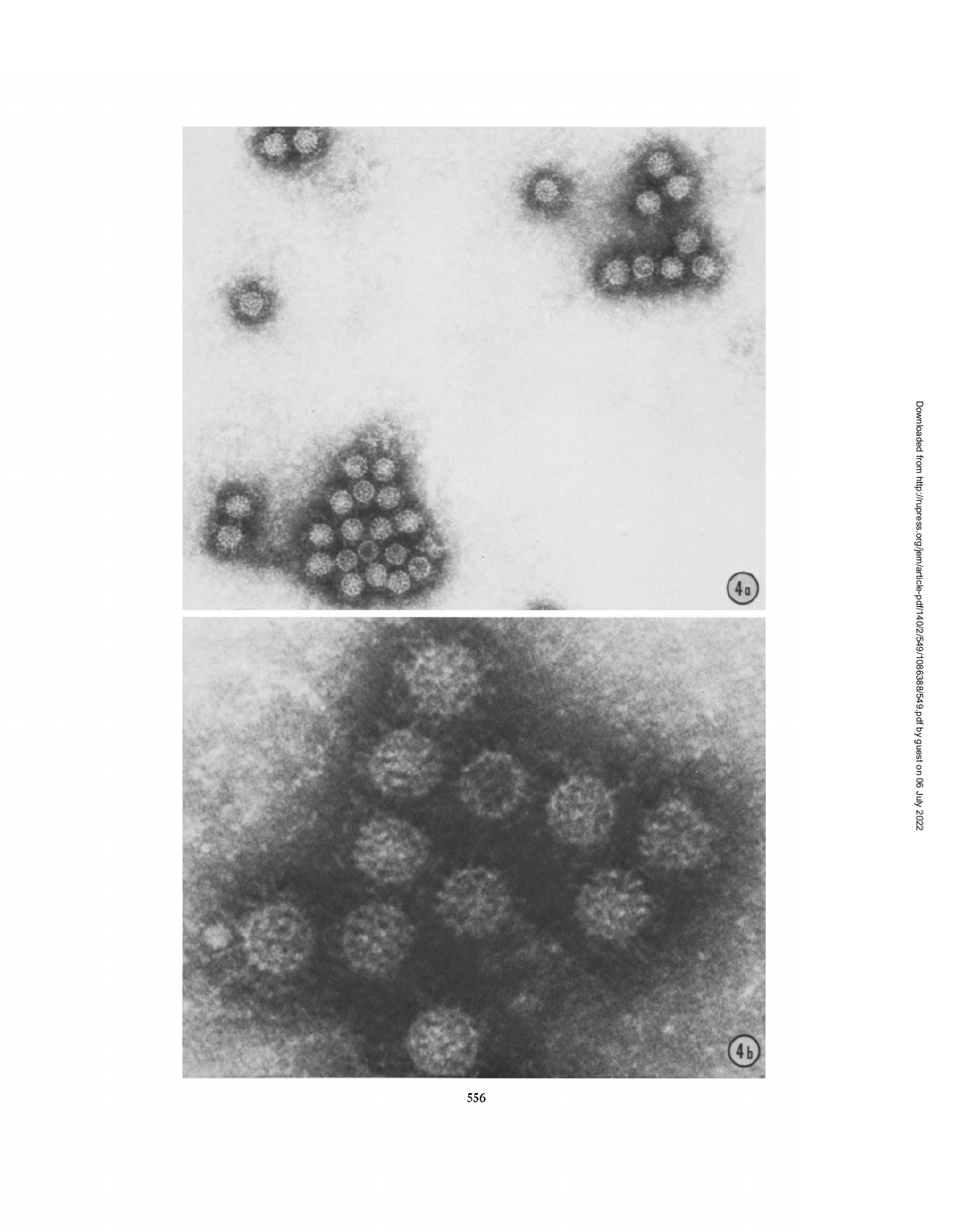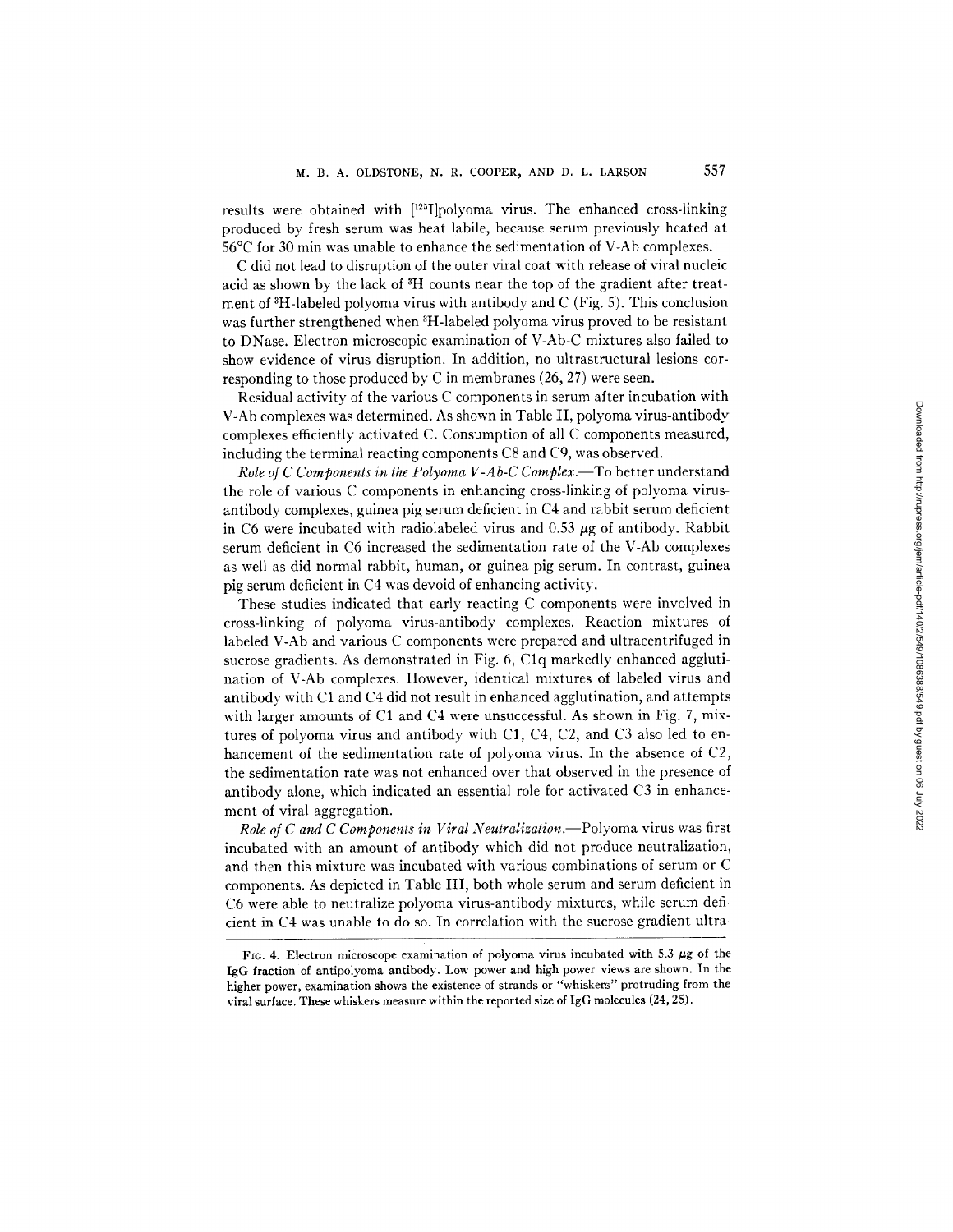results were obtained with  $[125]$  polyoma virus. The enhanced cross-linking produced by fresh serum was heat labile, because serum previously heated at  $56^{\circ}$ C for 30 min was unable to enhance the sedimentation of V-Ab complexes.

C did not lead to disruption of the outer viral coat with release of viral nucleic acid as shown by the lack of  $H$  counts near the top of the gradient after treatment of  $H$ -labeled polyoma virus with antibody and C (Fig. 5). This conclusion was further strengthened when  ${}^{3}H$ -labeled polyoma virus proved to be resistant to DNase. Electron microscopic examination of V-Ab-C mixtures also failed to show evidence of virus disruption. In addition, no ultrastructural lesions corresponding to those produced by C in membranes (26, 27) were seen.

Residual activity of the various C components in serum after incubation with V-Ab complexes was determined. As shown in Table II, polyoma virus-antibody complexes efficiently activated C. Consumption of all C components measured, including the terminal reacting components C8 and C9, was observed.

*Role of C Components in the Polyoma V-A b-C Complex.--To* better understand the role of various C components in enhancing cross-linking of polyoma virusantibody complexes, guinea pig serum deficient in C4 and rabbit serum deficient in C6 were incubated with radiolabeled virus and  $0.53 \mu$ g of antibody. Rabbit serum deficient in C6 increased the sedimentation rate of the V-Ab complexes as well as did normal rabbit, human, or guinea pig serum. In contrast, guinea pig serum deficient in C4 was devoid of enhancing activity.

These studies indicated that early reacting C components were involved in cross-linking of polyoma virus-antibody complexes. Reaction mixtures of labeled V-Ab and various C components were prepared and ultracentrifuged in sucrose gradients. As demonstrated in Fig. 6, Clq markedly enhanced agglutination of V-Ab complexes. However, identical mixtures of labeled virus and antibody with C1 and C4 did not result in enhanced agglutination, and attempts with larger amounts of C1 and C4 were unsuccessful. As shown in Fig. 7, mixtures of polyoma virus and antibody with C1, C4, C2, and C3 also led to enhancement of the sedimentation rate of polyoma virus. In the absence of C2, the sedimentation rate was not enhanced over that observed in the presence of antibody alone, which indicated an essential role for activated C3 in enhancement of viral aggregation.

*Role of C and C Components in Viral Neutralization.--Polyoma* virus was first incubated with an amount of antibody which did not produce neutralization, and then this mixture was incubated with various combinations of serum or C components. As depicted in Table III, both whole serum and serum deficient in C6 were able to neutralize polyoma virus-antibody mixtures, while serum deficient in C4 was unable to do so. In correlation with the sucrose gradient ultra-

FIG. 4. Electron microscope examination of polyoma virus incubated with 5.3  $\mu$ g of the IgG fraction of antipolyoma antibody. Low power and high power views are shown. In the higher power, examination shows the existence of strands or "whiskers" protruding from the viral surface. These whiskers measure within the reported size of IgG molecules (24, 25).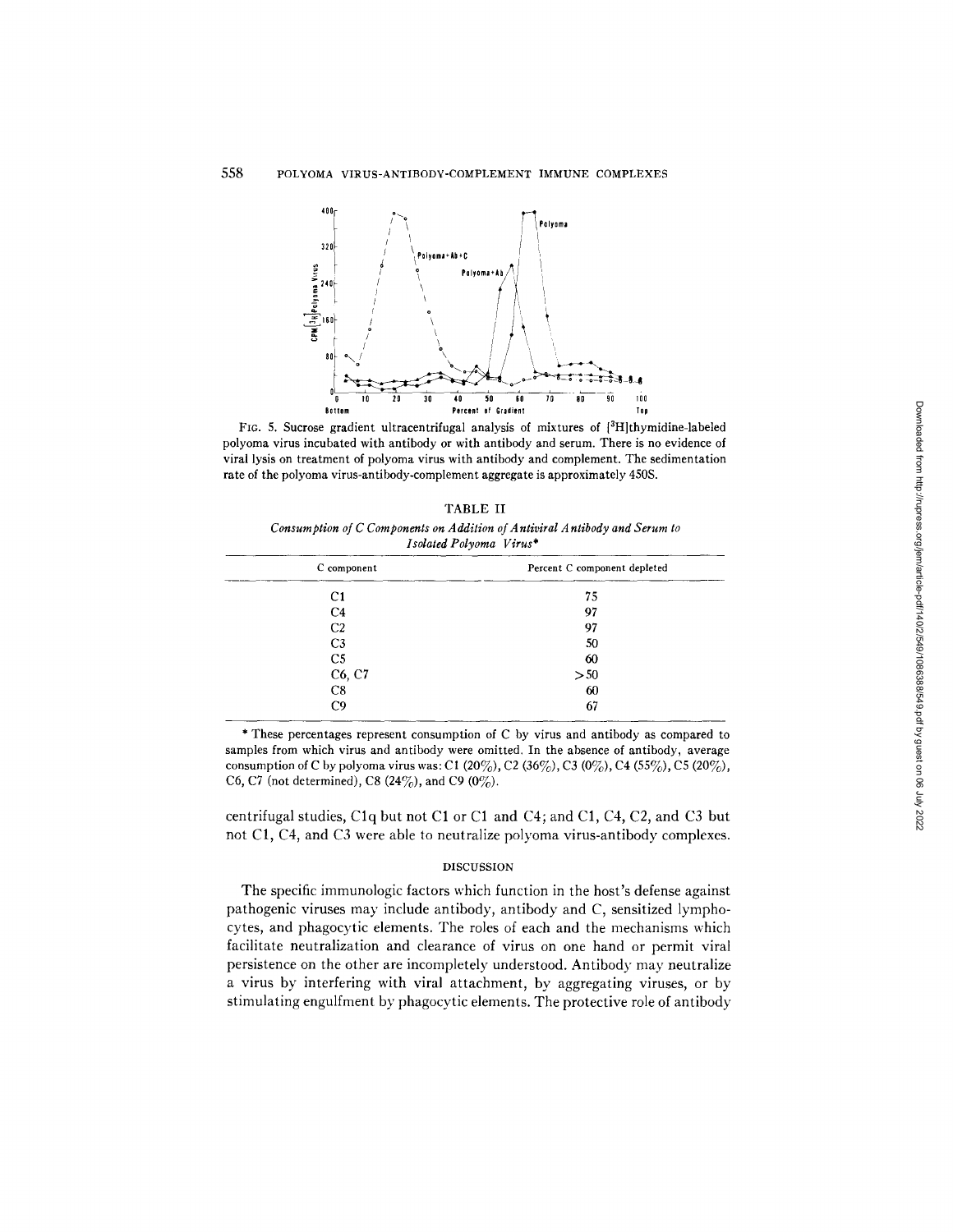

FIG. 5. Sucrose gradient ultracentrifugal analysis of mixtures of [3H]thymidine-labeled polyoma virus incubated with antibody or with antibody and serum. There is no evidence of viral lysis on treatment of polyoma virus with antibody and complement. The sedimentation rate of the polyoma virus-antibody-complement aggregate is approximately 450S.

TABLE II *Consumption of C Components on Addition of Antiviral Antibody and Serum to Isolated Polyoma Virus\** 

| C component    | Percent C component depleted |
|----------------|------------------------------|
| C1             | 75                           |
| C <sub>4</sub> | 97                           |
| C <sub>2</sub> | 97                           |
| C <sub>3</sub> | 50                           |
| C <sub>5</sub> | 60                           |
| C6, C7         | >50                          |
| C8             | 60                           |
| 0٦             | 67                           |

\* These percentages represent consumption of C by virus and antibody as compared to samples from which virus and antibody were omitted. In the absence of antibody, average consumption of C by polyoma virus was: C1 (20%), C2 (36%), C3 (0%), C4 (55%), C5 (20%), C6, C7 (not determined), C8 (24%), and C9 (0%).

centrifugal studies, Clq but not C1 or C1 and C4; and C1, C4, C2, and C3 but not C1, C4, and C3 were able to neutralize polyoma virus-antibody complexes.

#### DISCUSSION

The specific immunologic factors which function in the host's defense against pathogenic viruses may include antibody, antibody and C, sensitized lymphocytes, and phagocytic elements. The roles of each and the mechanisms which facilitate neutralization and clearance of virus on one hand or permit viral persistence on the other are incompletely understood. Antibody may neutralize a virus by interfering with viral attachment, by aggregating viruses, or by stimulating engulfment by phagocytic elements. The protective role of antibody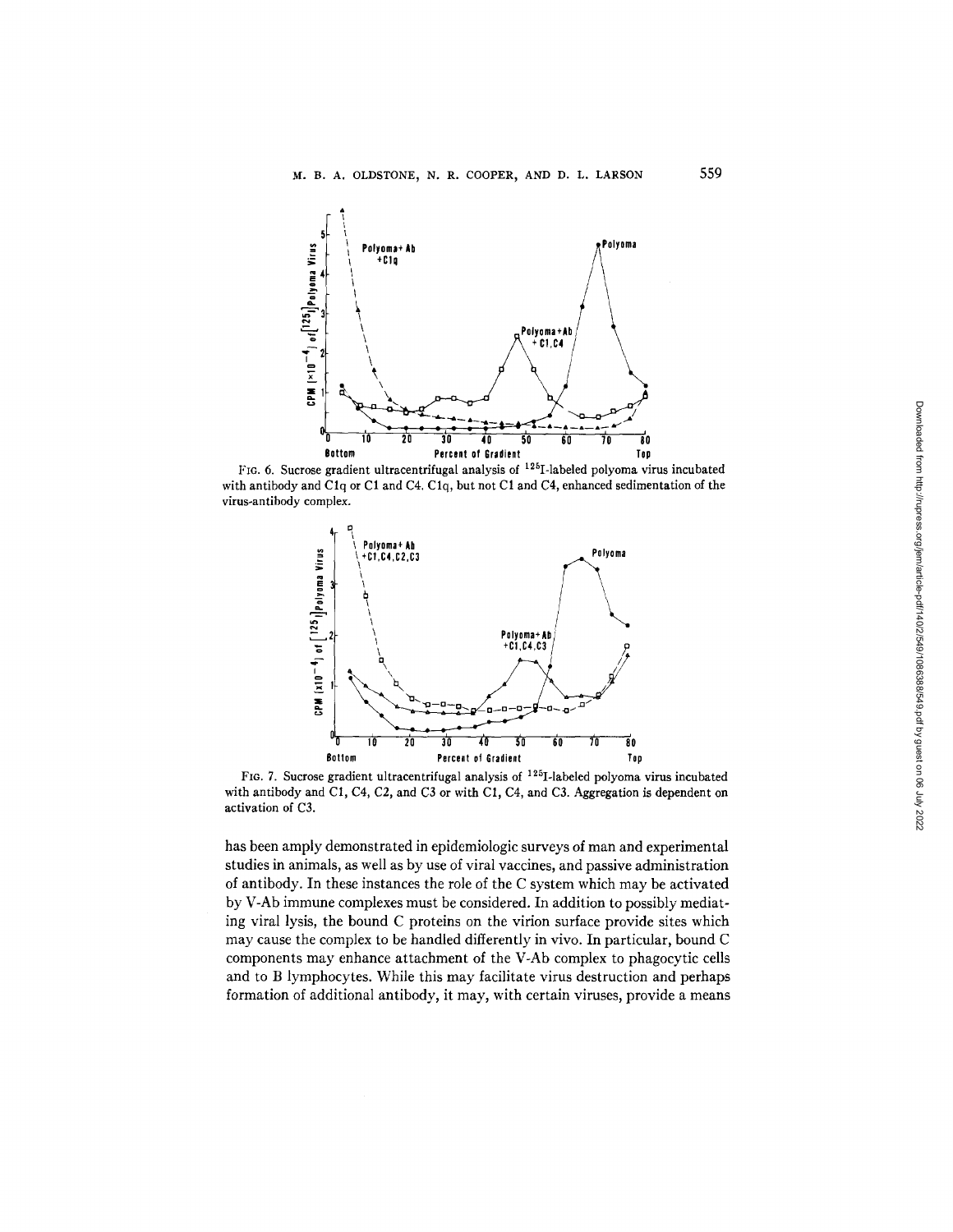

FIG. 6. Sucrose gradient ultracentrifugal analysis of <sup>125</sup>I-labeled polyoma virus incubated with antibody and Clq or C1 and C4. Clq, but not C1 and C4, enhanced sedimentation of the virus-antibody complex.



FIG. 7. Sucrose gradient ultracentrifugal analysis of <sup>125</sup>I-labeled polyoma virus incubated with antibody and C1, C4, *C2,* and C3 or with C1, C4, and C3. Aggregation is dependent on activation of C3.

has been amply demonstrated in epidemiologic surveys of man and experimental studies in animals, as well as by use of viral vaccines, and passive administration of antibody. In these instances the role of the C system which may be activated by V-Ab immune complexes must be considered. In addition to possibly mediating viral lysis, the bound C proteins on the virion surface provide sites which may cause the complex to be handled differently in vivo. In particular, bound C components may enhance attachment of the V-Ab complex to phagocytic cells and to B lymphocytes. While this may facilitate virus destruction and perhaps formation of additional antibody, it may, with certain viruses, provide a means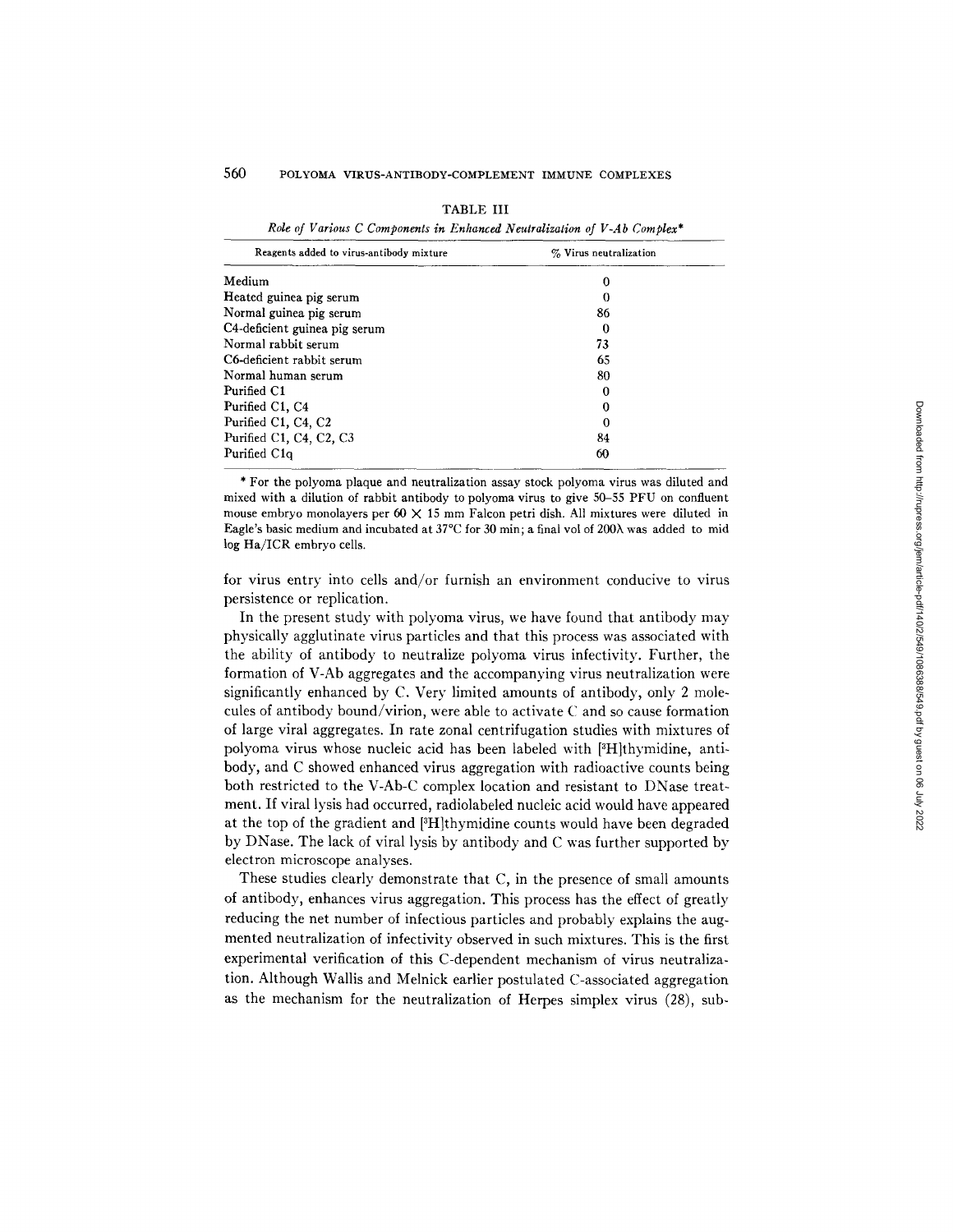|  | ۰. | r<br>г.<br>в. |  |
|--|----|---------------|--|
|--|----|---------------|--|

*Role of Various C Components in Enhanced Neutralization of V-Ab Complex\** 

| Reagents added to virus-antibody mixture | % Virus neutralization |  |
|------------------------------------------|------------------------|--|
| Medium                                   | 0                      |  |
| Heated guinea pig serum                  |                        |  |
| Normal guinea pig serum                  | 86                     |  |
| C4-deficient guinea pig serum            |                        |  |
| Normal rabbit serum                      | 73                     |  |
| C6-deficient rabbit serum                | 65                     |  |
| Normal human serum                       | 80                     |  |
| Purified C1                              |                        |  |
| Purified C1, C4                          |                        |  |
| Purified C1, C4, C2                      |                        |  |
| Purified C1, C4, C2, C3                  | 84                     |  |
| Purified C1a                             | 60                     |  |

\* For the polyoma plaque and neutralization assay stock polyoma virus was diluted and mixed with a dilution of rabbit antibody to polyoma virus to give 50-55 PFU on confluent mouse embryo monolayers per  $60 \times 15$  mm Falcon petri dish. All mixtures were diluted in Eagle's basic medium and incubated at  $37^{\circ}$ C for 30 min; a final vol of 200 $\lambda$  was added to mid log Ha/ICR embryo cells.

for virus entry into cells and/or furnish an environment conducive to virus persistence or replication.

In the present study with polyoma virus, we have found that antibody may physically agglutinate virus particles and that this process was associated with the ability of antibody to neutralize polyoma virus infectivity. Further, the formation of V-Ab aggregates and the accompanying virus neutralization were significantly enhanced by C. Very limited amounts of antibody, only 2 molecules of antibody bound/virion, were able to activate C and so cause formation of large viral aggregates. In rate zonal centrifugation studies with mixtures of polyoma virus whose nucleic acid has been labeled with [3H]thymidine, antibody, and C showed enhanced virus aggregation with radioactive counts being both restricted to the V-Ab-C complex location and resistant to DNase treatment. If viral lysis had occurred, radiolabeled nucleic acid would have appeared at the top of the gradient and [3H]thymidine counts would have been degraded by DNase. The lack of viral lysis by antibody and C was further supported by electron microscope analyses.

These studies clearly demonstrate that C, in the presence of small amounts of antibody, enhances virus aggregation. This process has the effect of greatly reducing the net number of infectious particles and probably explains the augmented neutralization of infectivity observed in such mixtures. This is the first experimental verification of this C-dependent mechanism of virus neutralization. Although Wallis and Melnick earlier postulated C-associated aggregation as the mechanism for the neutralization of Herpes simplex virus (28), sub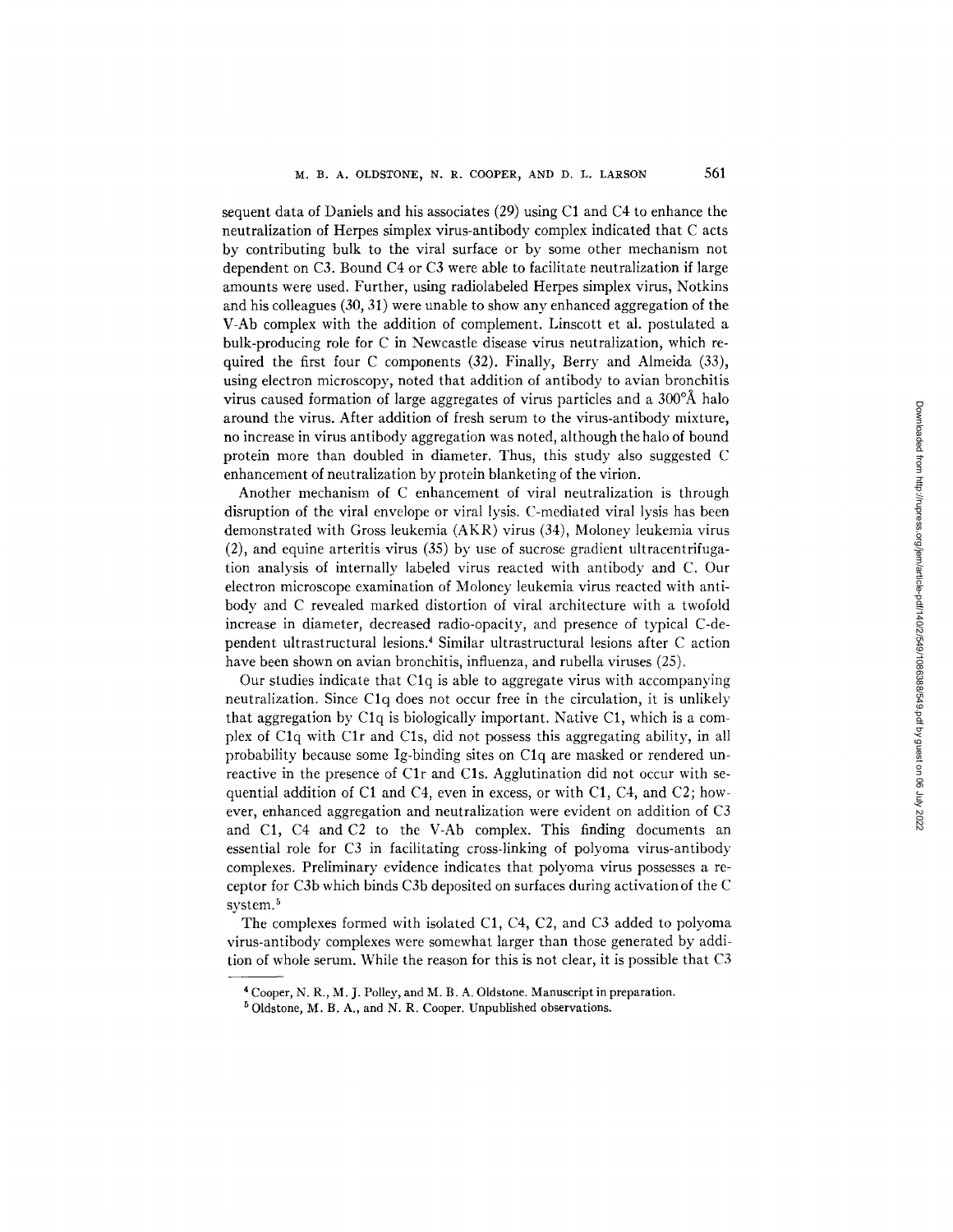sequent data of Daniels and his associates (29) using C1 and C4 to enhance the neutralization of Herpes simplex virus-antibody complex indicated that C acts by contributing bulk to the viral surface or by some other mechanism not dependent on C3. Bound C4 or C3 were able to facilitate neutralization if large amounts were used. Further, using radiolabeled Herpes simplex virus, Notkins and his colleagues (30, 31) were unable to show any enhanced aggregation of the V-Ab complex with the addition of complement. Linscott et al. postulated a bulk-producing role for C in Newcastle disease virus neutralization, which required the first four C components  $(32)$ . Finally, Berry and Almeida  $(33)$ , using electron microscopy, noted that addition of antibody to avian bronchitis virus caused formation of large aggregates of virus particles and a  $300^{\circ}$ Å halo around the virus. After addition of fresh serum to the virus-antibody mixture, no increase in virus antibody aggregation was noted, although the halo of bound protein more than doubled in diameter. Thus, this study also suggested C enhancement of neutralization by protein blanketing of the virion.

Another mechanism of C enhancement of viral neutralization is through disruption of the viral envelope or viral lysis. C-mediated viral lysis has been demonstrated with Gross leukemia (AKR) virus (34), Moloney leukemia virus (2), and equine arteritis virus (35) by use of sucrose gradient ultracentrifugation analysis of internally labeled virus reacted with antibody and C. Our electron microscope examination of Moloney leukemia virus reacted with antibody and C revealed marked distortion of viral architecture with a twofold increase in diameter, decreased radio-opacity, and presence of typical C-dependent ultrastructural lesions.<sup>4</sup> Similar ultrastructural lesions after C action have been shown on avian bronchitis, influenza, and rubella viruses (25).

Our studies indicate that Clq is able to aggregate virus with accompanying neutralization. Since Clq does not occur free in the circulation, it is unlikely that aggregation by Clq is biologically important. Native C1, which is a complex of Clq with Clr and Cls, did not possess this aggregating ability, in all probability because some Ig-binding sites on Clq are masked or rendered unreactive in the presence of Clr and Cls. Agglutination did not occur with sequential addition of C1 and C4, even in excess, or with C1, C4, and C2; however, enhanced aggregation and neutralization were evident on addition of C3 and C1, C4 and C2 to the V-Ab complex. This finding documents an essential role for C3 in facilitating cross-linking of polyoma virus-antibody complexes. Preliminary evidence indicates that polyoma virus possesses a receptor for C3b which binds C3b deposited on surfaces during activation of the C system.<sup>5</sup>

The complexes formed with isolated C1, C4, C2, and C3 added to polyoma virus-antibody complexes were somewhat larger than those generated by addition of whole serum. While the reason for this is not clear, it is possible that C3

<sup>4</sup> Cooper, N. R., M. J. Polley, and M. B. A. Oldstone. Manuscript in preparation.

<sup>&</sup>lt;sup>5</sup> Oldstone, M. B. A., and N. R. Cooper. Unpublished observations.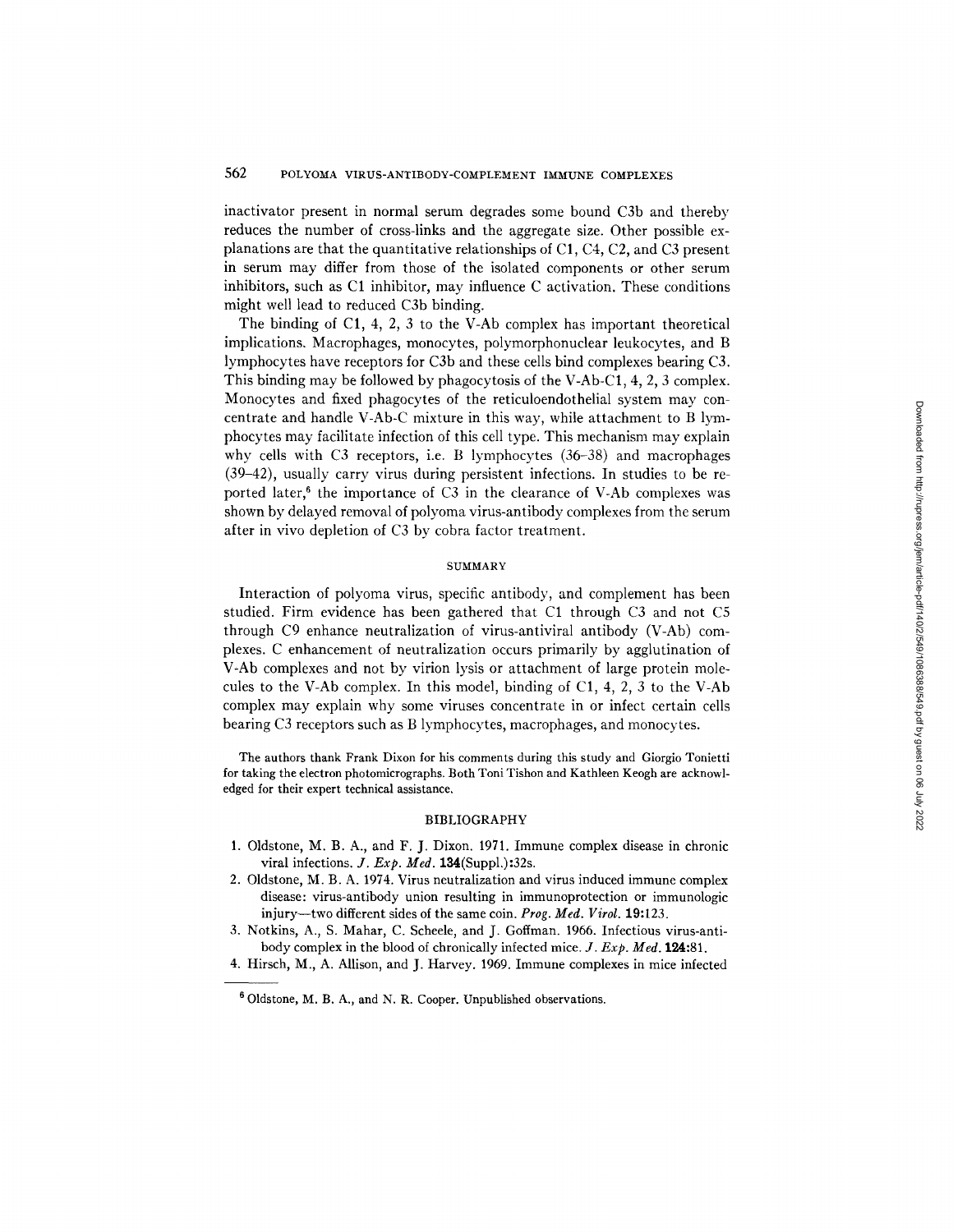inactivator present in normal serum degrades some bound C3b and thereby reduces the number of cross-links and the aggregate size. Other possible explanations are that the quantitative relationships of C1, C4, C2, and C3 present in serum may differ from those of the isolated components or other serum inhibitors, such as C1 inhibitor, may influence C activation. These conditions might well lead to reduced C3b binding.

The binding of C1, 4, 2, 3 to the V-Ab complex has important theoretical implications. Macrophages, monocytes, polymorphonuclear leukocytes, and B lymphocytes have receptors for C3b and these cells bind complexes bearing C3. This binding may be followed by phagocytosis of the V-Ab-C1, 4, 2, 3 complex. Monocytes and fixed phagocytes of the reticuloendothelial system may concentrate and handle V-Ab-C mixture in this way, while attachment to B lymphocytes may facilitate infection of this cell type. This mechanism may explain why cells with C3 receptors, i.e. B lymphocytes  $(36-38)$  and macrophages (39-42), usually carry virus during persistent infections. In studies to be reported later, $6$  the importance of C3 in the clearance of V-Ab complexes was shown by delayed removal of polyoma virus-antibody complexes from the serum after in vivo depletion of C3 by cobra factor treatment.

#### **SUMMARY**

Interaction of polyoma virus, specific antibody, and complement has been studied. Firm evidence has been gathered that C1 through C3 and not C5 through C9 enhance neutralization of virus-antiviral antibody (V-Ab) complexes. C enhancement of neutralization occurs primarily by agglutination of V-Ab complexes and not by virion lysis or attachment of large protein molecules to the V-Ab complex. In this model, binding of  $C1$ , 4, 2, 3 to the V-Ab complex may explain why some viruses concentrate in or infect certain cells bearing C3 receptors such as B lymphocytes, macrophages, and monocytes.

The authors thank Frank Dixon for his comments during this study and Giorgio Tonietti for taking the electron photomicrographs. Both Toni Tishon and Kathleen Keogh are acknowledged for their expert technical assistance,

# BIBLIOGRAPHY

- 1. Oldstone, M. B. A., and F. J. Dixon. 1971. Immune complex disease in chronic viral infections. *J. Exp. Med.* 134(Suppl.):32s.
- 2. Oldstone, M. B. A. 1974. Virus neutralization and virus induced immune complex disease: virus-antibody union resulting in immunoprotection or immunologic injury--two different sides of the same coin. *Prog. Med. Virol.* **19:**123.
- 3. Notkins, A., S. Mahar, C. Scheele, and J. Goffman. 1966. Infectious virus-antibody complex in the blood of chronically infected mice. *J. Exp. Med.* 124:81.
- 4. Hirsch, M., A. Allison, and J. Harvey. 1969. Immune complexes in mice infected

Oldstone, M. B. A,, and N. R. Cooper. Unpublished observations.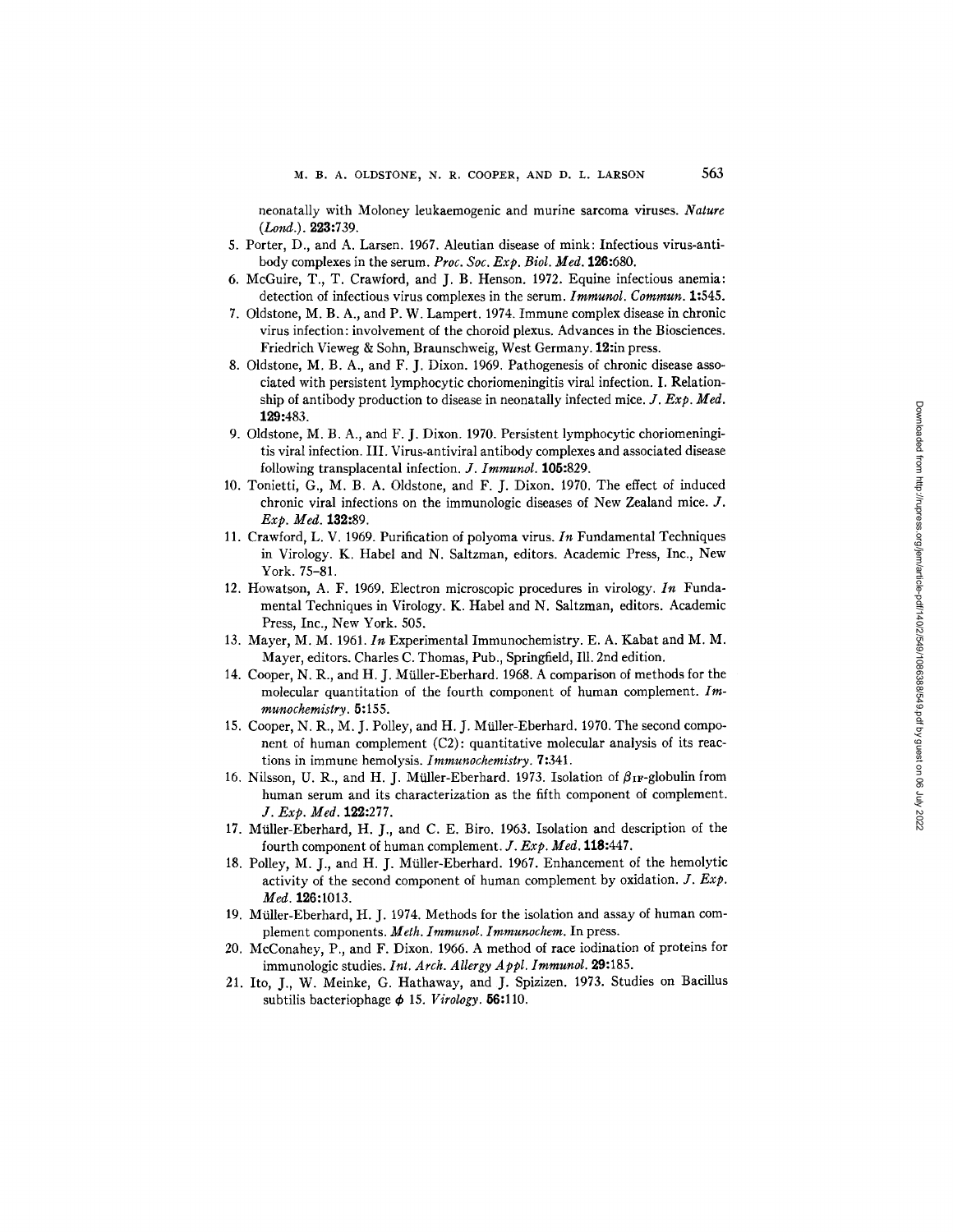neonatally with Moloney leukaemogenic and murine sarcoma viruses. *Nature*  (Lond.). 223:739.

- 5. Porter, D., and A. Larsen. 1967. Aleutian disease of mink: Infectious virus-antibody complexes in the serum. *Proc. Soc. Exp. Biol. Med.* 126:680.
- 6. McGuire, T., T. Crawford, and J. B. Henson. 1972. Equine infectious anemia: detection of infectious virus complexes in the serum. *Immunol. Commun.* 1:545.
- 7. Oldstone, M. B. A., and P. W. Lampert. 1974. Immune complex disease in chronic virus infection: involvement of the choroid plexus. Advances in the Biosciences. Friedrich Vieweg & Sohn, Braunschweig, West Germany. 12:in press.
- 8. Oldstone, M. B. A., and F. J. Dixon. 1969. Pathogenesis of chronic disease associated with persistent lymphocytic choriomeningitis viral infection. 2. Relationship of antibody production to disease in neonatally infected mice. *J. Exp. Med.*  129:483.
- 9. Oldstone, M. B. A., and F. J. Dixon. 1970. Persistent lymphocytic choriomeningitis viral infection. III. Virus-antiviral antibody complexes and associated disease following transplacental infection. *J. Immunol.* 105:829.
- 10. Tonietti, G., M. B. A. Oldstone, and F. J. Dixon. 1970. The effect of induced chronic viral infections on the immunologic diseases of New Zealand mice. J. Exp. Med. 132:89.
- 11. Crawford, L. V. 1969. Purification of polyoma virus. *In* Fundamental Techniques in Virology. K. Habel and N. Saltzman, editors. Academic Press, Inc., New York. 75-81.
- 12. Howatson, A. F. 1969. Electron microscopic procedures in virology. *In* Fundamental Techniques in Virology. K. Habel and N. Saltzman, editors. Academic Press, Inc., New York. 505.
- 13. Mayer, M. M. 1961. *In* Experimental Immunochemistry. E. A. Kabat and M. M. Mayer, editors. Charles C. Thomas, Pub., Springfield, Ill. 2nd edition.
- 14. Cooper, N. R., and H. J. Mtiller-Eberhard. 1968. A comparison of methods for the molecular quantitation of the fourth component of human complement. *Immunochemistry.* 5:155.
- 15. Cooper, N. R., M. J. Polley, and H. J. Müller-Eberhard. 1970. The second component of human complement (C2): quantitative molecular analysis of its reactions in immune hemolysis. *Immunochemistry.* 7:341.
- 16. Nilsson, U. R., and H. J. Müller-Eberhard. 1973. Isolation of  $\beta_{IF}$ -globulin from human serum and its characterization as the fifth component of complement. *J. Exp. Med.* 122:277.
- 17. Müller-Eberhard, H. J., and C. E. Biro. 1963. Isolation and description of the fourth component of human complement. *J. Exp. Meal.* 118:447.
- 18. Polley, M. J., and H. J. Müller-Eberhard. 1967. Enhancement of the hemolytic activity of the second component of human complement by oxidation. *J. Exp. Med.* 126:1013.
- 19. Müller-Eberhard, H. J. 1974. Methods for the isolation and assay of human complement components. *Meth. Immunol. Immunochem.* In press.
- 20. McConahey, P., and F. Dixon. 1966. A method of race iodination of proteins for immunologic studies. *Int. Arch. Allergy Appl. Immunol.* 29:185.
- 21. Ito, J., W. Meinke, G. Hathaway, and J. Spizizen. 1973. Studies on Bacillus subtilis bacteriophage  $\phi$  15. *Virology*. **56:110.**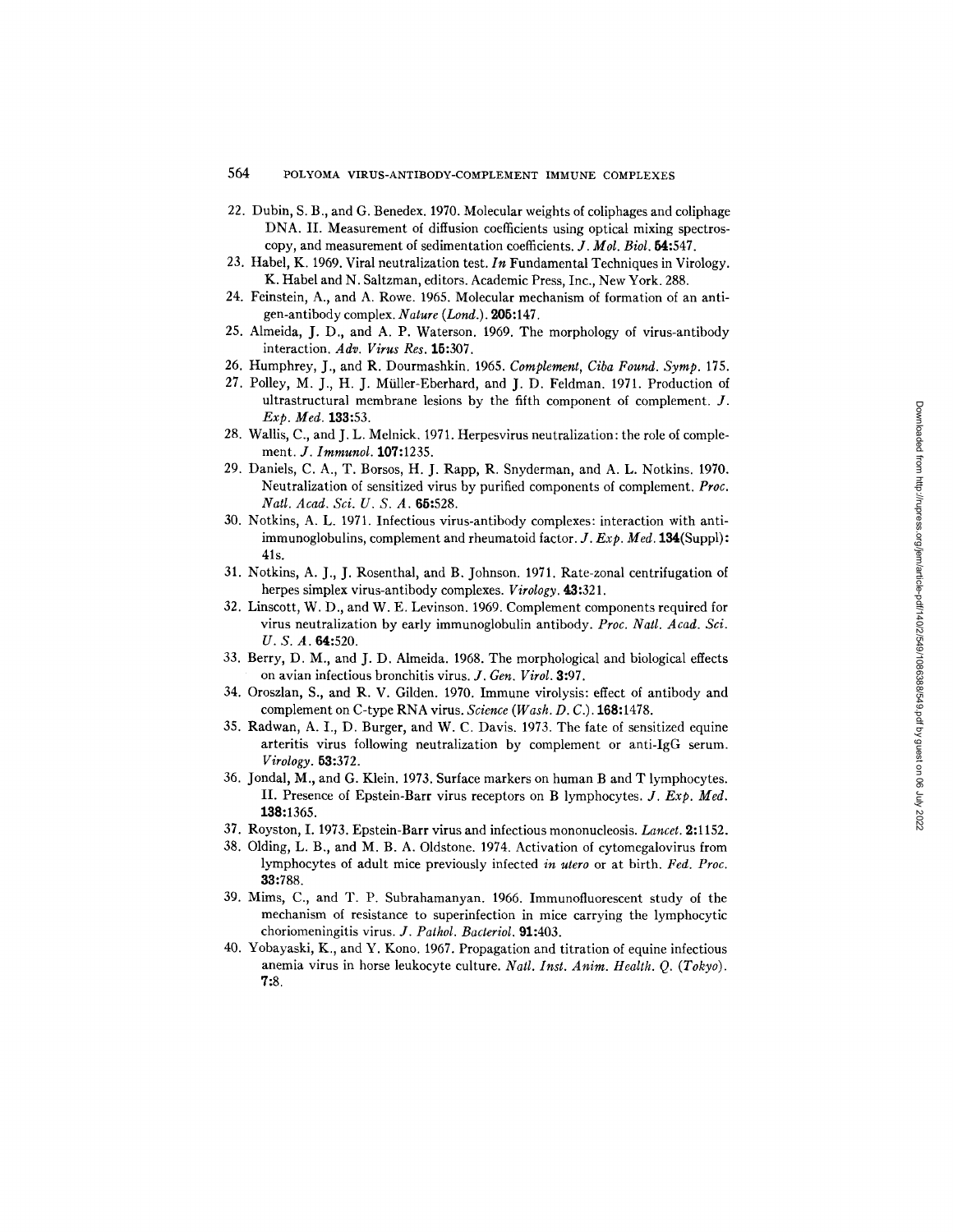- 22. Dubin, S. B., and G. Benedex. 1970. Molecular weights of coliphages and coliphage DNA. II. Measurement of diffusion coefficients using optical mixing spectroscopy, and measurement of sedimentation coefficients. *J. Mol. Biol.* 54:547.
- 23. Habel, K. 1969. Viral neutralization test. *In* Fundamental Techniques in Virology. K. Habel and N. Saltzman, editors. Academic Press, Inc., New York. 288.
- 24. Feinstein, A., and A. Rowe. 1965. Molecular mechanism of formation of an antigen-antibody complex. Nature (Lond.). 205:147.
- 25. Almeida, J. D., and A. P. Waterson. 1969. The morphology of virus-antibody interaction. *Adv. Virus Res.* 15:307.
- 26. Humphrey, J., and R. Dourmashkin. 1965. *Complement, Ciba Found. Syrup.* 175.
- 27. Polley, M. J., H. J. Miiller-Eberhard, and J. D. Feldman. 1971. Production of ultrastructural membrane lesions by the fifth component of complement. J. *Exp. Med.* 133:53.
- 28. Wallis, C., and J. L. Melnick. 1971. Herpesvirus neutralization: the role of complement. *J. Immunol.* 107:1235.
- 29. Daniels, C. A., T. Borsos, H. J. Rapp, R. Snyderman, and A. L. Notkins. 1970. Neutralization of sensitized virus by purified components of complement. *Proc. Natl. Acad. Sci. U, S. A.* 65:528.
- 30. Notkins, A. L. 1971. Infectious virus-antibody complexes: interaction with antiimmunoglobulins, complement and rheumatoid factor. *J. Exp. Med.* **134**(Suppl): 41s.
- 31. Notkins, A. J., J. Rosenthal, and B. Johnson. 1971. Rate-zonal centrifugation of herpes simplex virus-antibody complexes. *Virology.* 43:321.
- 32. Linscott, W. D., and W. E. Levinson. 1969. Complement components required for virus neutralization by early immunoglobulin antibody. *Proc. Natl. Acad. Sci.*  U. S. A. 64:520.
- 33. Berry, D. M., and J. D. Almeida. 1968. The morphological and biological effects on avian infectious bronchitis virus. *J. Gen. Virol.* 3:97.
- 34. Oroszlan, S., and R. V. Gilden. 1970. Immune virolysis: effect of antibody and complement on C-type RNA virus. *Science (Wash. D. C.).* 168:1478.
- 35. Radwan, A. I., D. Burger, and W. C. Davis. 1973. The fate of sensitized equine arteritis virus following neutralization by complement or anti-IgG serum. *Virology.* 53:372.
- 36. Jondal, M., and G. Klein. 1973. Surface markers on human B and T lymphocytes. II. Presence of Epstein-Barr virus receptors on B lymphocytes. *J. Exp. Med.*  138:1365.
- 37. Royston, I. 1973. Epstein-Barr virus and infectious mononucleosis. *Lancet.* 2:1152.
- 38. Olding, L. B., and M. B. A. Oldstone. 1974. Activation of cytomegalovirus from lymphocytes of adult mice previously infected *in utero* or at birth. *Fed. Proc.*  38:788.
- 39. Mires, C., and T. P. Subrahamanyan. 1966. Immunofluorescent study of the mechanism of resistance to superinfection in mice carrying the lymphocytic choriomeningitis virus. *J. Pathol. Bacteriol.* 91:403.
- 40. Yobayaski, K., and Y. Kono. 1967. Propagation and titration of equine infectious anemia virus in horse leukocyte culture. *Natl. Inst. Anim. Health. Q. (Tokyo)*. '/:8.